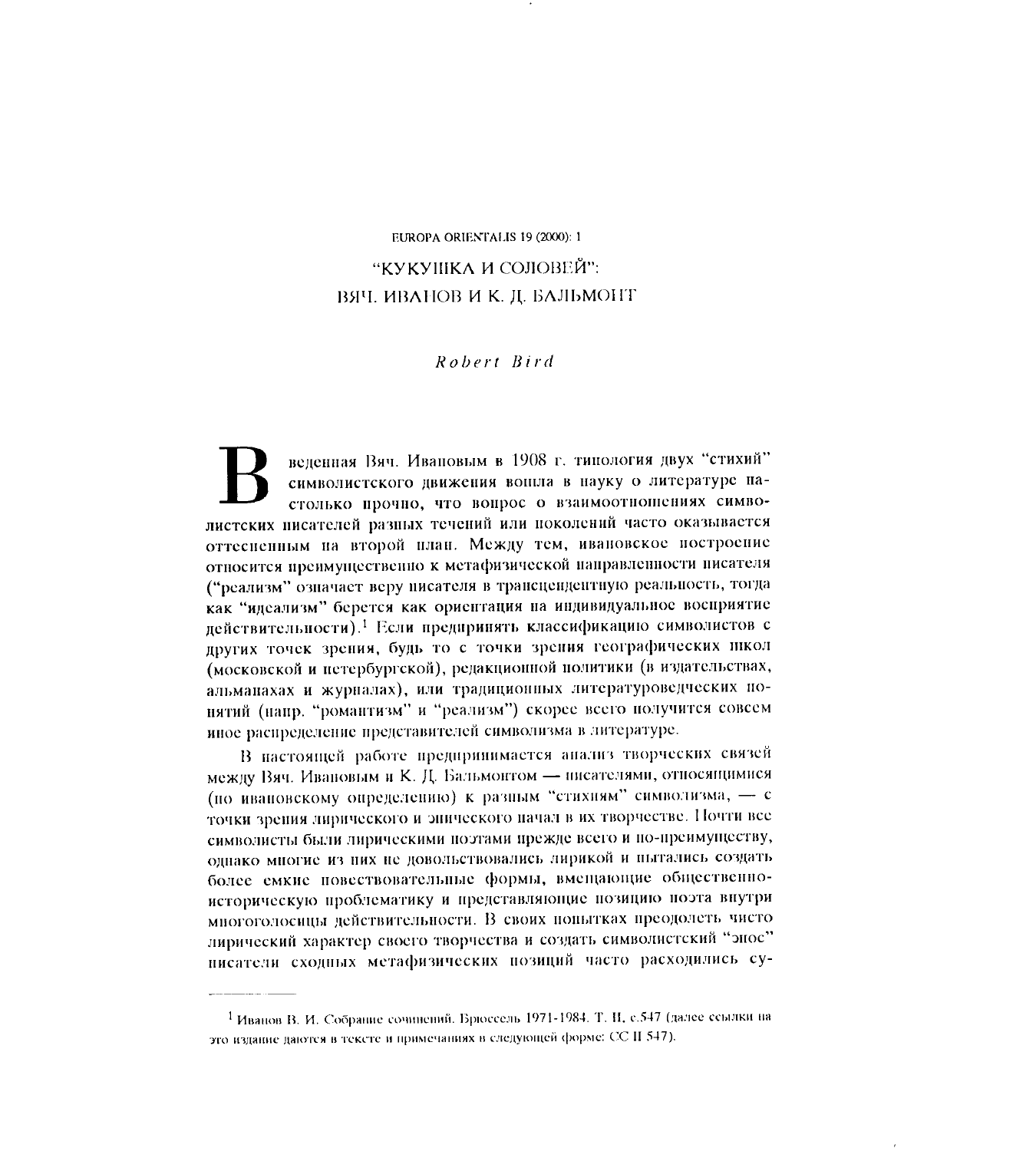## EUROPA ORIENTALIS 19 (2000): 1 "КУКУШКА И СОЛОВЕЙ": ВЯЧ. ИВАНОВ И К. Д. БАЛЬМОНТ

## Robert Bird

веденная Вяч. Ивановым в 1908 г. типология двух "стихий" символистского движения вошла в науку о литературе настолько прочно, что вопрос о взаимоотношениях символистских писателей разных течений или поколений часто оказывается оттесиенным на второй план. Между тем, ивановское построение относится преимущественно к метафизической направленности писателя ("реализм" означает веру писателя в трансцендентную реальность, тогда как "идеализм" берется как ориентация на индивидуальное восприятие действительности).<sup>1</sup> Если предпринять классификацию символистов с других точек зрения, будь то с точки зрения географических школ (московской и петербургской), редакционной политики (в издательствах, альманахах и журналах), или традиционных литературоведческих понятий (напр. "романтизм" и "реализм") скорее всего получится совсем иное распределение представителей символизма в литературе.

В настоящей работе предпринимается анализ творческих связей между Вяч. Ивановым и К. Д. Бальмонтом - писателями, относящимися (по ивановскому определению) к разным "стихням" символизма, - с точки зрения лирического и энического начал в их творчестве. Почти все символисты были лирическими поэтами прежде всего и по-преимуществу, однако многие из них не довольствовались лирикой и пытались создать более емкие повествовательные формы, вмещающие общественноисторическую проблематику и представляющие позицию поэта внутри многоголосицы действительности. В своих нопытках преодолеть чисто лирический характер своего творчества и создать символистский "эпос" писатели сходных метафизических позиций часто расходились су-

<sup>&</sup>lt;sup>1</sup> Иванов В. И. Собрание сочинений. Брюссель 1971-1984. Т. Н. с.547 (далее ссылки на это издание даются в тексте и примечаниях в следующей форме: СС II 547).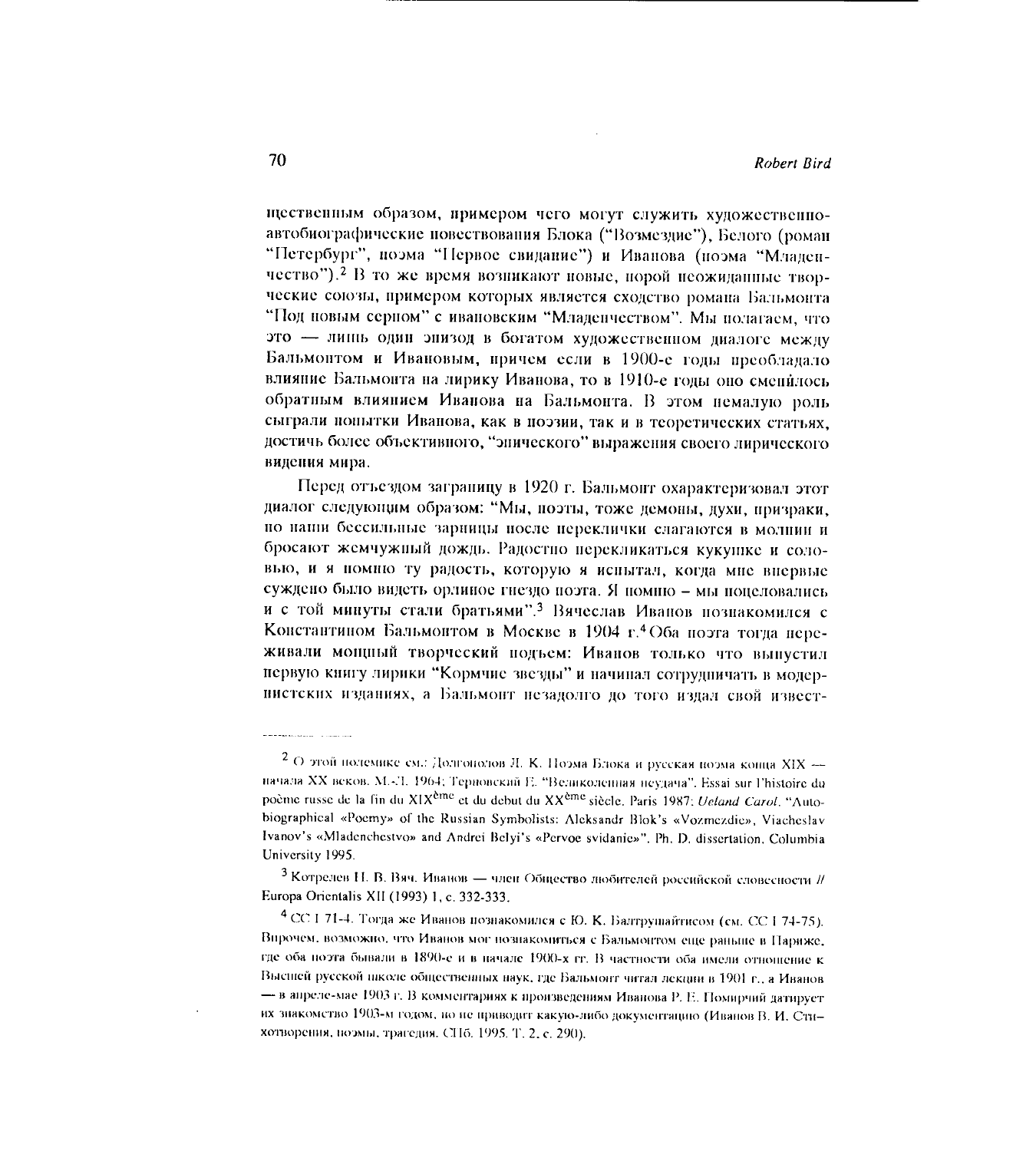щественным образом, примером чего могут служить художественноавтобиографические повествования Блока ("Возмездие"), Белого (роман "Петербург", поэма "Первое свидание") и Иванова (поэма "Младенчество"). <sup>2</sup> В то же время возникают новые, порой неожиданные творческие союзы, примером которых является сходство романа Бальмонта "Под новым серном" с ивановским "Младенчеством". Мы полагаем, что это - лишь один энизод в богатом художественном диалоге между Бальмонтом и Ивановым, причем если в 1900-е годы преобладало влияние Бальмонта на лирику Иванова, то в 1910-е годы оно сменилось обратным влиянием Иванова на Бальмонта. В этом немалую роль сыграли попытки Иванова, как в поэзии, так и в теоретических статьях. достичь более объективного, "энического" выражения своего лирического видения мира.

Перед отъездом заграницу в 1920 г. Бальмонт охарактеризовал этот диалог следующим образом: "Мы, поэты, тоже демоны, духи, призраки, по наши бессильные зарницы после переклички слагаются в молнии и бросают жемчужный дождь. Радостно перекликаться кукушке и соловью, и я помню ту радость, которую я испытал, когда мне впервые суждено было видеть орлиное гнездо поэта. Я помню - мы поцеловались и с той минуты стали братьями".<sup>3</sup> Вячеслав Иванов познакомился с Константином Бальмонтом в Москве в 1904 г.<sup>4</sup> Оба поэта тогда переживали мощный творческий подъем: Иванов только что выпустил первую книгу лирики "Кормчие звезды" и начинал сотрудничать в модернистских изданиях, а Бальмонт незадолго до того издал свой извест-

<sup>3</sup> Котрелев Н. В. Вяч. Иванов - член Общество любителей российской словесности // Europa Orientalis XII (1993) 1, c. 332-333.

4 СС І 71-4. Тогда же Иванов познакомился с Ю. К. Балтрушайтисом (см. СС 1 74-75). Впрочем, возможно, что Иванов мог познакомиться с Бальмонтом еще раньше в Париже, где оба поэта бывали в 1890-е и в начале 1900-х гг. В частности оба имели отношение к Высшей русской школе общественных наук, где Бальмонт читал лекции в 1901 г., а Иванов - в апреле-мае 1903 г. В комментариях к произведениям Иванова Р. Е. Помирчий датирует их знакометво 1903-м годом, но не приводит какую-либо документацию (Иванов В. И. Стихотворения, поэмы, трагедия. СПб. 1995. Т. 2, с. 290).

<sup>2</sup> О этой полемике см.: Долгонолов Л. К. Поэма Блока и русская поэма конца XIX начала XX веков. М.-Л. 1964; Терновский Е. "Великоленная неудача". Essai sur l'histoire du poème russe de la fin du XIX<sup>ème</sup> et du debut du XX<sup>ème</sup> siècle. Paris 1987; *Ueland Carol*. "Autobiographical «Poemy» of the Russian Symbolists: Aleksandr Blok's «Vozmezdie», Viacheslav Ivanov's «Mladenchestvo» and Andrei Belyi's «Pervoe svidanie»". Ph. D. dissertation. Columbia University 1995.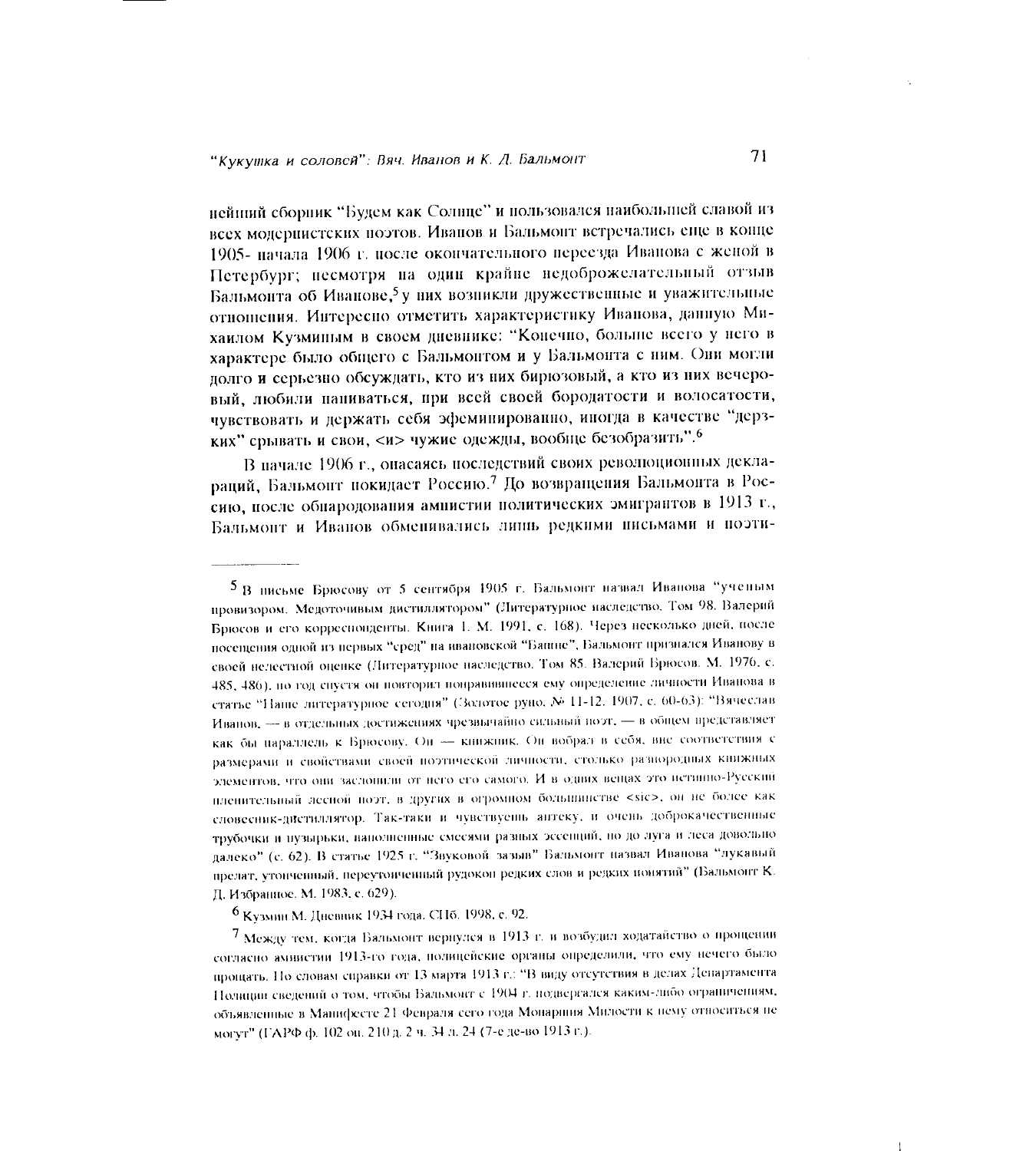нейший сборник "Будем как Солнце" и пользовался наибольшей славой из всех модернистских поэтов. Иванов и Бальмонт встречались еще в конце 1905- пачала 1906 г. после окончательного переезда Иванова с женой в Петербург; несмотря на один крайне недоброжелательный отзыв Бальмонта об Иванове,<sup>5</sup> у них возникли дружественные и уважительные отношения. Интересно отметить характеристику Иванова, данную Михаилом Кузминым в своем дневнике: "Конечно, больше всего у него в характере было общего с Бальмонтом и у Бальмонта с ним. Они могли долго и серьезно обсуждать, кто из них бирюзовый, а кто из них вечеровый, любили наниваться, при всей своей бородатости и волосатости, чувствовать и держать себя эфеминированно, иногда в качестве "дерзких" срывать и свои, <и> чужие одежды, вообще безобразить".

В начале 1906 г., онасаясь последствий своих революционных деклараций, Бальмонт покидает Россию.<sup>7</sup> До возвращения Бальмонта в Россию, после обнародования ампистии политических эмигрантов в 1913 г., Бальмонт и Иванов обменивались лишь редкими письмами и поэти-

5 В письме Брюсову от 5 сентября 1905 г. Бальмонт назвал Иванова "ученым провизором. Медоточивым дистиллитором" (Литературное наследство. Том 98. Валерий Брюсов и его корреспонденты. Книга 1. М. 1991, с. 168). Через несколько дней, после посещения одной из первых "сред" на ивановской "Башне", Бальмонт признался Иванову в своей нелестной оценке (Литературное наследство. Том 85. Валерий Брюсов. М. 1976, с. 485, 486), но год спустя он повторил понравившееся ему определение личности Иванова в статье "Наше литературное сегодня" (Золотое руно, № 11-12, 1907, с. 60-63): "Вячеслав Иванов, - в отдельных достижениях чрезвычайно сильный поэт, - в общем представляет как бы параллель к Брюсову. Он - книжник. Он вобрал в себя, вне соответствия с размерами и свойствами своей поэтической личности, столько разнородных книжных элементов, что они заслонили от него его самого. И в одних вещах это истинно-Русский пленительный лесной поэт, в других в огромном большинстве <sic>, он не более как словесник-дистиллятор. Так-таки и чувствуены антеку, и очень доброкачественные трубочки и пузырьки, наполненные смесями разных эссенций, но до луга и леса довольно далеко" (с. 62). В статье 1925 г. "Звуковой зазыв" Бальмонт назвал Иванова "лукавый прелат, утонченный, переутонченный рудокон редких слов и редких понятий" (Бальмонт К. Д. Избранное. М. 1983, с. 629).

6 Кузмин М. Дневник 1934 года. СПб. 1998, с. 92.

7 Между тем, когда Бальмонт вернулся в 1913 г. и возбудил ходатайство о прощении согласно амнистии 1913-го года, полицейские органы определили, что ему нечего было прощать. Но словам справки от 13 марта 1913 г.: "В виду отсутствия в делах Департамента Полиции сведений о том, чтобы Бальмонт с 1904 г. подвергался каким-либо ограничениям, объявленные в Манифесте 21 Февраля сего года Монаршия Милости к нему относиться не могут" (ГАРФ ф. 102 он. 210 д. 2 ч. 34 л. 24 (7-е де-во 1913 г.).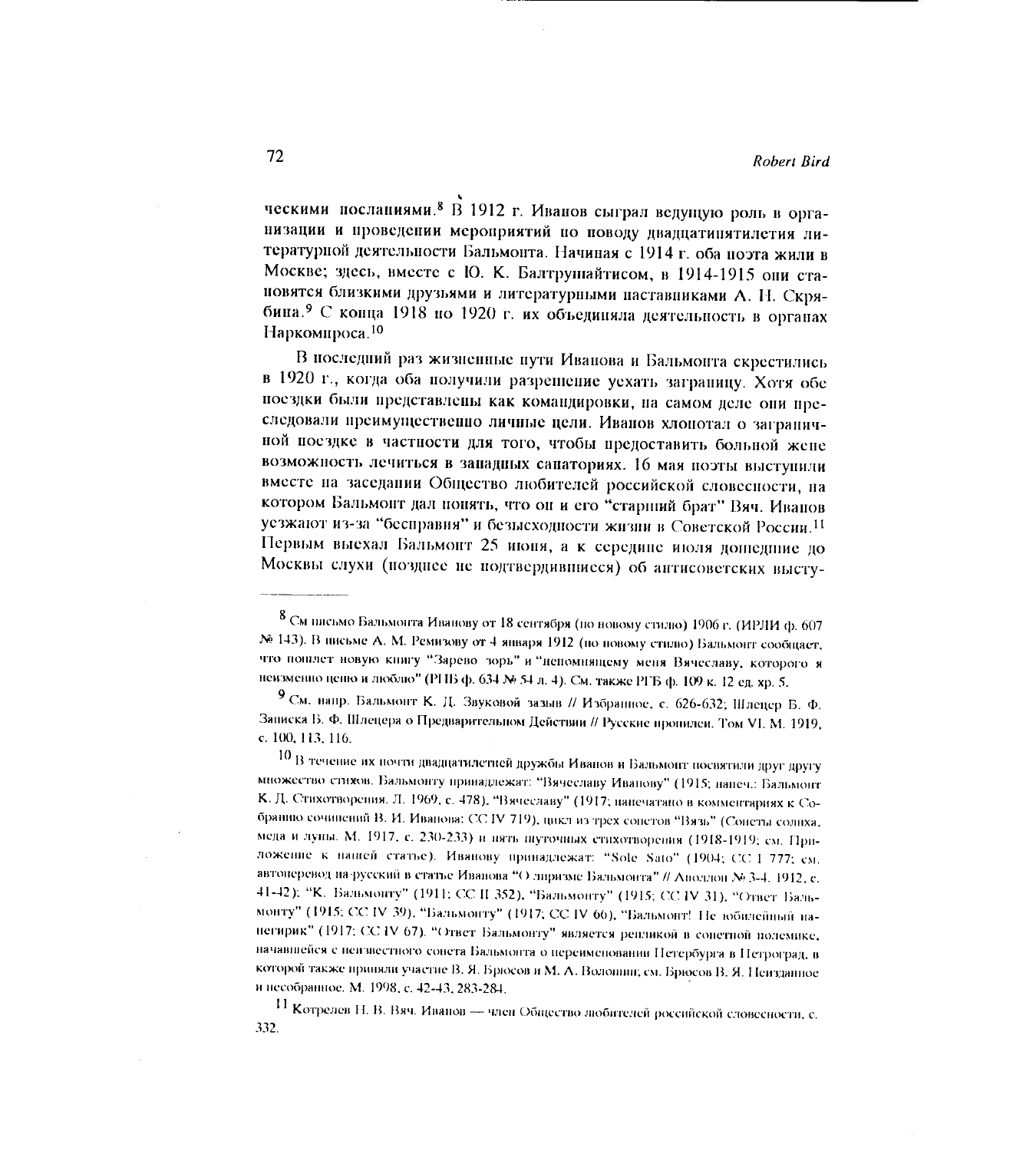ческими посланиями.<sup>8</sup> В 1912 г. Иванов сыграл ведущую роль в организации и проведении мероприятий по поводу двадцатинятилетия литературной деятельности Бальмонта. Начиная с 1914 г. оба поэта жили в Москве; здесь, вместе с Ю. К. Балтрушайтисом, в 1914-1915 они становятся близкими друзьями и литературными наставниками А. Н. Скрябина.<sup>9</sup> С конца 1918 по 1920 г. их объединяла деятельность в органах Наркомироса.<sup>10</sup>

В последний раз жизненные пути Иванова и Бальмонта скрестились в 1920 г., когда оба получили разрешение уехать заграницу. Хотя обе поездки были представлены как командировки, на самом деле они преследовали преимущественно личные цели. Иванов хлонотал о заграничной поездке в частности для того, чтобы предоставить больной жене возможность лечиться в западных сапаториях. 16 мая поэты выступили вместе на заседании Общество любителей российской словеспости, на котором Бальмонт дал нонять, что он и его "старший брат" Вяч. Иванов усзжают из-за "бесправия" и безысходности жизни в Советской России.<sup>11</sup> Первым выехал Бальмонт 25 июня, а к середине июля дошедние до Москвы слухи (позднее не подтвердившиеся) об антисоветских высту-

10 В течение их почти двадцатилетней дружбы Иванов и Бальмонт посвятили друг другу множество стихов. Бальмонту принадлежат: "Вячеславу Иванову" (1915; напеч.: Бальмонт К. Д. Стихотворения. Л. 1969, с. 478). "Вячеславу" (1917; нанечатано в комментариях к Собранию сочинений В. И. Иванова: СС IV 719), цикл из трех сонетов "Вязь" (Сонеты солнха, меда и луны. М. 1917, с. 230-233) и нять шуточных стихотворения (1918-1919; см. Приложение к наней статье). Иванову принадлежат: "Sole Sato" (1904; СС I 777; см. автоперевод на русский в статье Иванова "О лиризме Бальмонта" // Аполлон № 3-4. 1912, с. 41-42); "К. Бальмонту" (1911; СС II 352), "Бальмонту" (1915; СС IV 31), "Ответ Бальмонту" (1915; СС IV 39), "Бальмонту" (1917; СС IV 66), "Бальмонт! Не юбилейный нанегирик" (1917; СС IV 67). "Ответ Бальмонту" является решликой в соцетной полемике, начавшейся с пеизвестного сонста Бальмонта о переименовании Петербурга в Петроград, в которой также приняли участие В. Я. Брюсов и М. А. Волошин; см. Брюсов В. Я. Неизданное и несобранное. М. 1998, с. 42-43, 283-284.

11 Котрелев Н. В. Вяч. Иванов - член Общество любителей российской словесности, с. 332.

<sup>8</sup> См письмо Бальмонта Иванову от 18 сентября (по новому стилю) 1906 г. (ИРЛИ ф. 607 № 143). В письме А. М. Ремизову от 4 января 1912 (по новому стилю) Бальмонт сообщает, что пошлет новую книгу "Зарево зорь" и "непомнящему меня Вячеславу, которого я неизменно ценю и люблю" (РНБ ф. 634 № 54 л. 4). См. также РГБ ф. 109 к. 12 ед. хр. 5.

<sup>9</sup> См. напр. Бальмонт К. Д. Звуковой зазыв // Избранное, с. 626-632; Шлецер Б. Ф. Записка Б. Ф. Шлецера о Предварительном Действии // Русские пропилеи. Том VI. М. 1919, c. 100, 113, 116.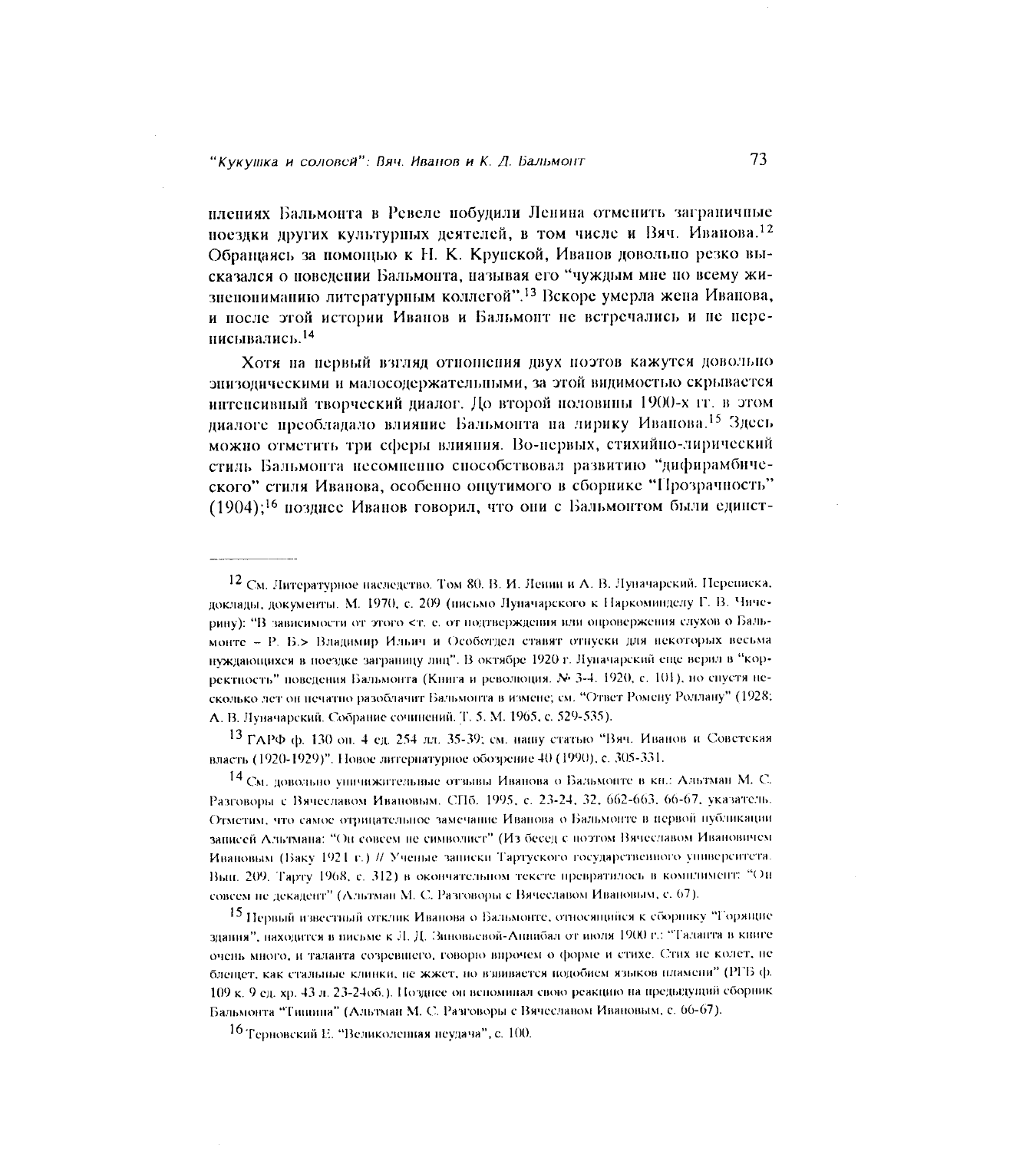плениях Бальмонта в Ревеле побудили Ленина отменить заграничные поездки других культурных деятелей, в том числе и Вяч. Иванова.<sup>12</sup> Обращаясь за помощью к Н. К. Крупской, Иванов довольно резко высказался о поведении Бальмонта, называя его "чуждым мне по всему жизнепониманию литературным коллегой".<sup>13</sup> Вскоре умерла жена Иванова, и после этой истории Иванов и Бальмонт не встречались и не нереписывались.<sup>14</sup>

Хотя на первый взгляд отношения двух поэтов кажутся довольно энизодическими и малосодержательными, за этой видимостью скрывается интенсивный творческий диалог. До второй половины 1900-х гг. в этом диалоге преобладало влияние Бальмонта на лирику Иванова.<sup>15</sup> Здесь можно отметить три сферы влияния. Во-нервых, стихийно-лирический стиль Бальмонта несомненно способствовал развитию "дифирамбического" стиля Иванова, особенно ощутимого в сборнике "Прозрачность" (1904):<sup>16</sup> позлисе Иванов говорил, что они с Бальмонтом были единст-

13 ГАРФ ф. 130 он. 4 ед. 254 лл. 35-39; см. нашу статью "Вяч. Иванов и Советская власть (1920-1929)". Новое литериатурное обозрение 40 (1990), с. 305-331.

14 См. довольно уничижительные отзывы Иванова о Бальмонте в кн.: Альтман М. С. Разговоры с Вячеславом Ивановым. СПб. 1995, с. 23-24, 32, 662-663, 66-67, указатель. Отметим, что самое отрицательное замечание Иванова о Бальмонте в первой публикации записей Альтмана: "Он совсем не символист" (Из бесед с поэтом Вячеславом Ивановичем Ивановым (Баку 1921 г.) // Ученые записки Тартуского государственного университета. Вып. 209. Тарту 1968, с. 312) в окончательном тексте превратилось в комплимент: "Онсовсем не декадент" (Альтман М. С. Разговоры с Вячеславом Ивановым, с. 67).

15 Первый известный отклик Иванова о Бальмонте, относящийся к сборнику "Горящие здания", находится в висьме к Л. Д. Зиновьевой-Анцибал от июля 1900 г.: "Таланта в книге очень много, и таланта созревшего, говорю впрочем о форме и стихе. Стих не колет, не блещет, как стальные клинки, не жжет, но взвивается подобием языков пламени" (РГБ ф. 109 к. 9 ед. хр. 43 л. 23-24об.). Позднее он вспоминал свою реакцию на предыдущий сборник Бальмонта "Типиніа" (Альтман М. С. Разговоры с Вячеславом Ивановым, с. 66-67).

16 Терновский Е. "Великолепная неудача", с. 100.

<sup>12</sup> См. Литературное наследство. Том 80. В. И. Ленин и А. В. Луначарский. Переписка, доклады, документы. М. 1970, с. 209 (нисьмо Луначарского к Наркоминделу Г. В. Чичерину): "В зависимости от этого <т, е, от подтверждения или опровержения слухов о Бальмонте - Р. Б.> Владимир Ильич и Особотдел ставят отнуски для некоторых весьма нуждающихся в поездке заграницу лиц". В октябре 1920 г. Лупачарский еще верил в "корректность" поведения Бальмонта (Книга и революция. № 3-4. 1920, с. 101), но спустя несколько дет он печатно разоблачит Бальмонта в измене; см. "Ответ Ромену Роллану" (1928; А. В. Луначарский. Собрание сочинений. Т. 5. М. 1965, с. 529-535).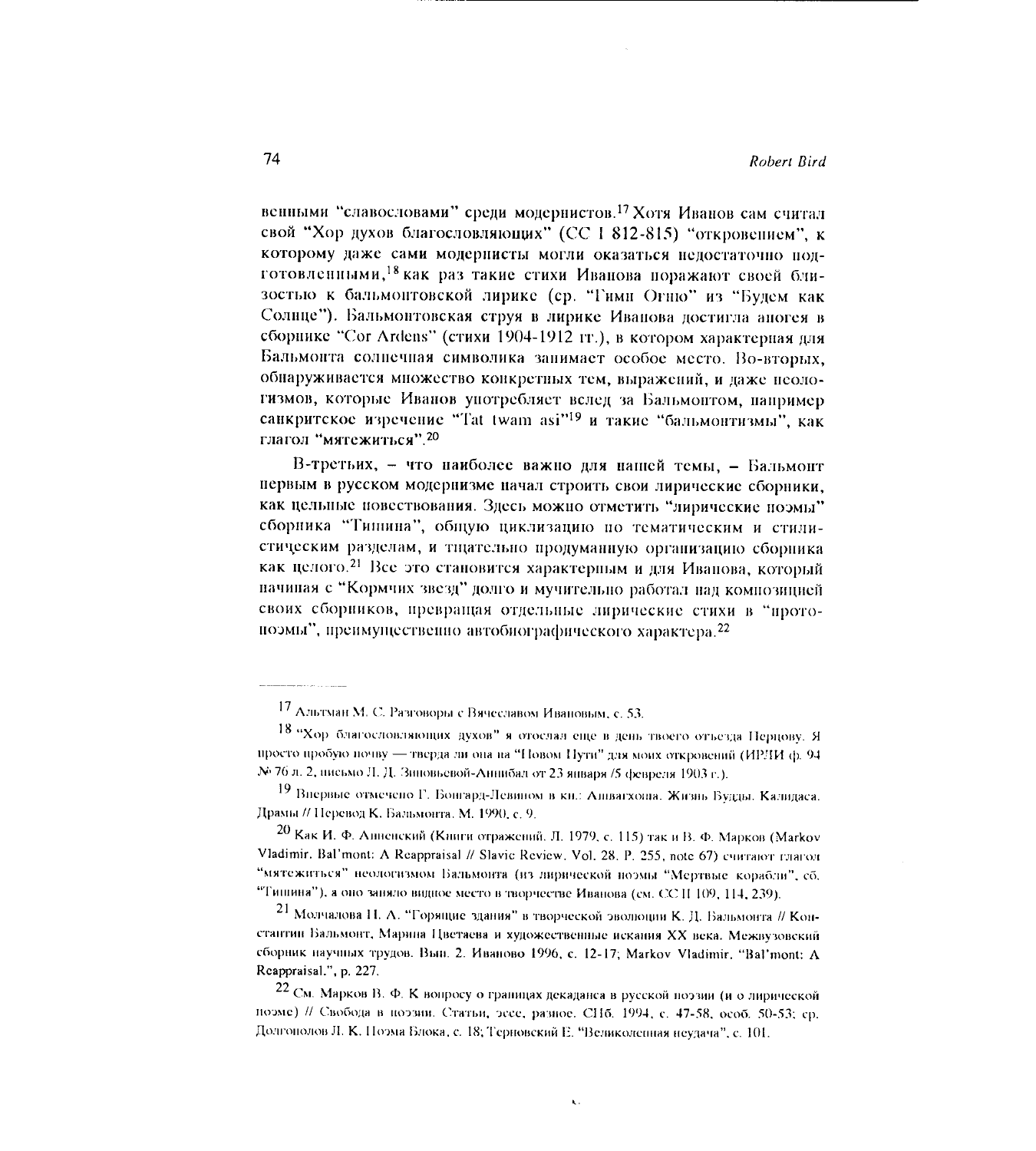венными "славословами" среди модернистов.<sup>17</sup> Хотя Иванов сам считал свой "Хор духов благословляющих" (СС 1 812-815) "откровением", к которому даже сами модернисты могли оказаться недостаточно подготовленными, <sup>18</sup> как раз такие стихи Иванова поражают своей близостью к бальмонтовской лирике (ср. "Гимн Огню" из "Будем как Солице"). Бальмонтовская струя в лирике Иванова достигла аногея в сборнике "Cor Ardens" (стихи 1904-1912 гг.), в котором характерная лля Бальмонта солнечная символика занимает особое место. Во-вторых, обнаруживается множество конкретных тем, выражений, и даже неологизмов, которые Иванов употребляет вслед за Бальмонтом, например санкритское изречение "Tat twam asi"<sup>19</sup> и такие "бальмонтизмы", как глагол "мятежиться".<sup>20</sup>

В-третьих, - что наиболее важно для нашей темы, - Бальмонт первым в русском модернизме начал строить свои лирические сборники. как цельные повествования. Здесь можно отметить "лирические поэмы" сборника "Типина", общую циклизацию по тематическим и стилистическим разделам, и тщательно продуманную организацию сборника как целого.<sup>21</sup> Все это становится характерным и для Иванова, который начиная с "Кормчих звезд" долго и мучительно работал над композицией своих сборников, превращая отдельные лирические стихи в "протопоэмы", преимущественно автобиографического характера.<sup>22</sup>

74

<sup>17</sup> Альтман М. С. Разговоры с Вячеславом Ивановым, с. 53.

<sup>18 &</sup>quot;Хор благословляющих духов" я отослал еще в день твоего отъезда Перцову. Я просто пробую почву — тверда ли она на "Новом Нути" для моих откровений (ИРЛИ ф. 94 № 76 л. 2, нисьмо Л. Д. Зиновьевой-Аннибал от 23 января /5 февреля 1903 г.).

<sup>19</sup> Впервые отмечено Г. Бонгард-Левином в кн.: Ашвагхоша. Жизнь Будды. Калидаса. Драмы // Перевод К. Бальмонта. М. 1990, с. 9.

<sup>20</sup> Как И. Ф. Анненский (Книги отражений, Л. 1979, с. 115) так и В. Ф. Марков (Markov Vladimir, Bal'mont: A Reappraisal // Slavic Review, Vol. 28, P. 255, note 67) считают глагод "мятежиться" неологизмом Бальмонта (из лирической ноэмы "Мертвые корабли", сб. "Тишина"), а оно заняло видное место в творчестве Иванова (см. СС П 109, 114, 239).

<sup>21</sup> Молчалова Н. А. "Горящие здания" в творческой эволюции К. Д. Бальмонта // Константин Бальмонт, Марина Цветаева и художественные искания XX века. Межвузовский сборник научных трудов. Вын. 2. Иваново 1996, с. 12-17; Markov Vladimir. "Bal'mont: A Reappraisal.", p. 227.

<sup>22</sup> См. Марков В. Ф. К вопросу о границах декаданса в русской поэзии (и о лирической поэме) // Свобода в поэзии. Статьи, эссе, разное. СПб. 1994, с. 47-58, особ. 50-53; ср. Долгонолов Л. К. Поэма Блока, с. 18; Терновский Е. "Великоленная неудача", с. 101.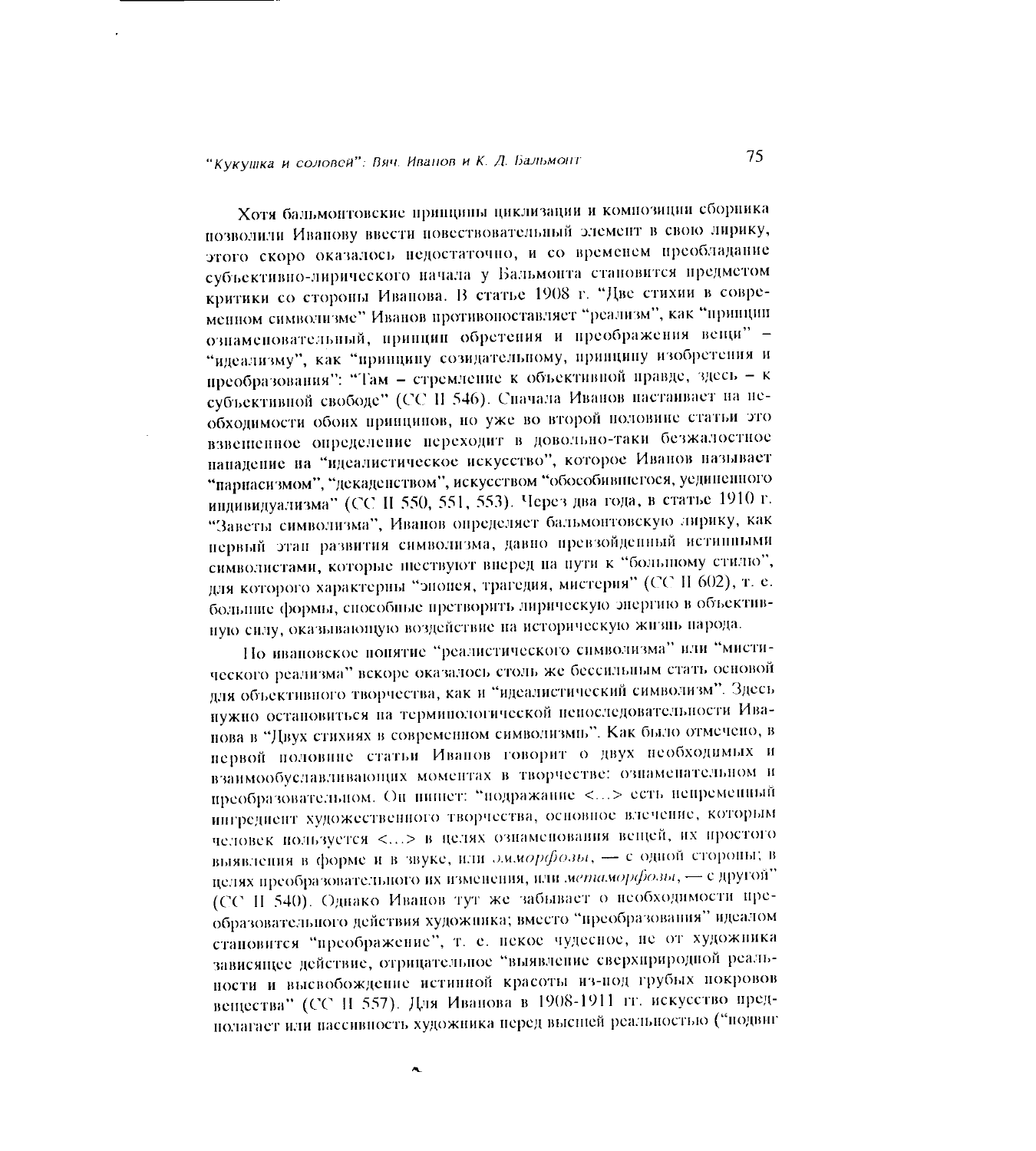Хотя бальмонтовские прищины циклизации и композиции сборника позволили Иванову ввести повествовательный элемент в свою лирику, этого скоро оказалось недостаточно, и со временем преобладание субъективно-лирического начала у Бальмонта становится предметом критики со стороны Иванова. В статье 1908 г. "Две стихии в современном символизме" Иванов противопоставляет "реализм", как "принцип ознаменовательный, принцип обретения и преображения вещи" -"идеализму", как "принципу созидательному, принципу изобретения и преобразования": "Там - стремление к объективной правде, здесь - к субъективной свободе" (СС П 546). Спачала Иванов настаивает на необходимости обоих принципов, но уже во второй половине статьи это взвешенное определение переходит в довольно-таки безжалостное нападение на "идеалистическое искусство", которое Иванов называет "парнасизмом", "декаденством", искусством "обособившегося, уединенного индивидуализма" (СС II 550, 551, 553). Через два года, в статье 1910 г. "Заветы символизма", Иванов определяет бальмонтовскую лирику, как первый этап развития символизма, давно превзойденный истинными символистами, которые шествуют вперед на пути к "большому стилю", для которого характерны "эпопея, трагедия, мистерия" (СС II 602), т. е. большие формы, способные претворить лирическую энергию в объективную сиду, оказывающую воздействие на историческую жизнь народа.

Но ивановское понятие "реалистического символизма" или "мистического реализма" вскоре оказалось столь же бессильным стать основой для объективного творчества, как и "идеалистический символизм". Здесь нужно остановиться на терминологической непоследовательности Иванова в "Двух стихиях в современном символизмы". Как было отмечено, в нервой половине статьи Иванов говорит о двух необходимых и взаимообуславливающих моментах в творчестве: ознаменательном и преобразовательном. Он нишет: "подражание <...> есть непременный ингредиент художественного творчества, основное влечение, которым человек пользуется <...> в целях ознаменования вещей, их простого выявления в форме и в звуке, или эмморфозы, - с одной стороны; в целях преобразовательного их изменения, или метаморфозы, - с другой" (СС II 540). Однако Иванов тут же забывает о необходимости преобразовательного действия художника; вместо "преобразования" идеалом становится "преображение", т. е. некое чудесное, не от художника зависящее действие, отрицательное "выявление сверхириродной реальности и высвобождение истинной красоты из-под грубых покровов вещества" (СС П 557). Для Иванова в 1908-1911 гг. искусство предполагает или пассивность художника перед высшей реальностью ("подвиг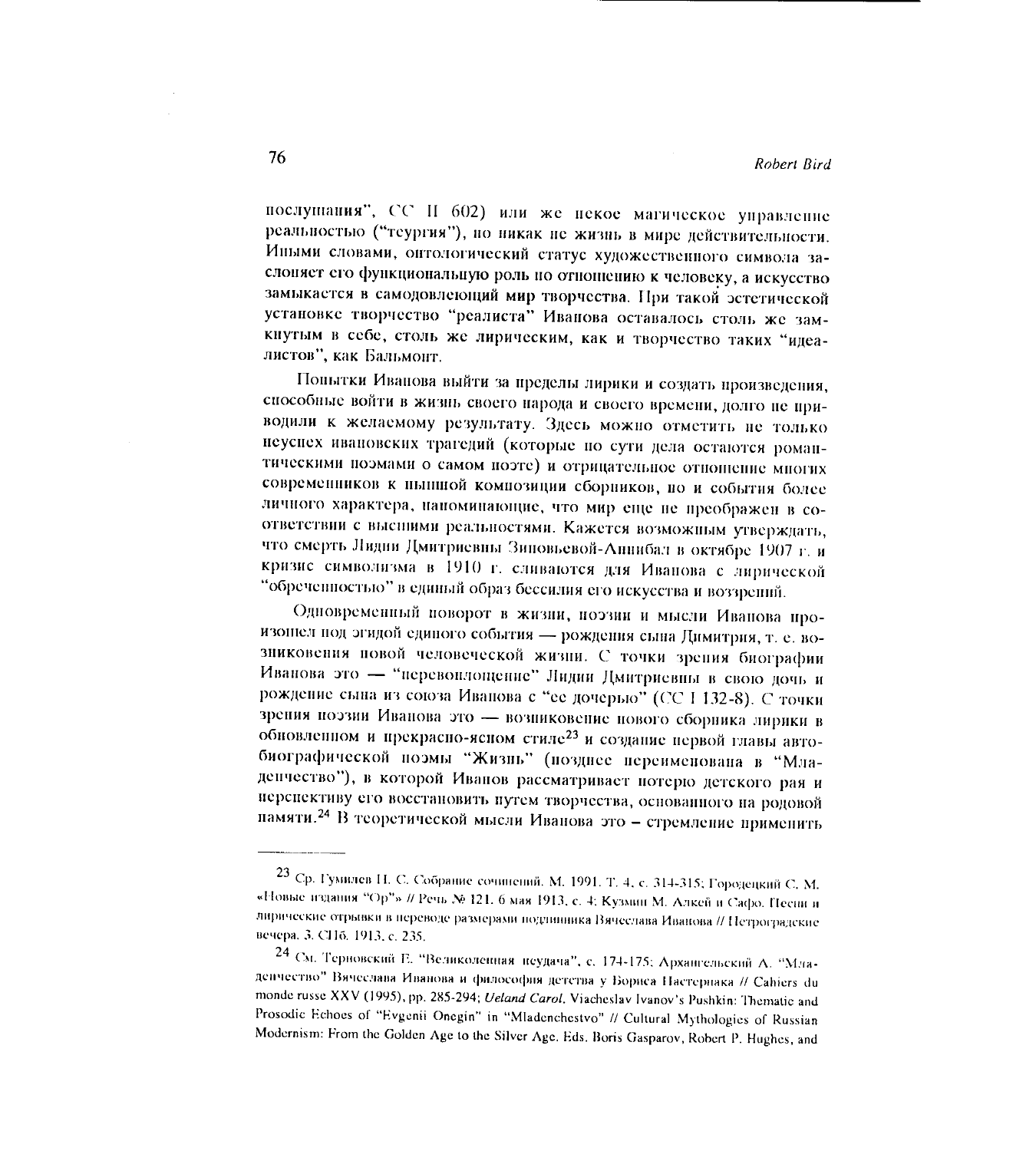послушания", СС II 602) или же некое магическое управление реальностью ("теургия"), но никак не жизнь в мире действительности. Иными словами, оптологический статус художественного символа заслоняет его функциональную роль по отношению к человеку, а искусство замыкается в самодовлеющий мир творчества. При такой эстетической установке творчество "реалиста" Иванова оставалось столь же замкнутым в себе, столь же лирическим, как и творчество таких "идеалистов", как Бальмонт.

Попытки Иванова выйти за пределы лирики и создать произведения, способные войти в жизнь своего народа и своего времени, долго не приводили к желаемому результату. Здесь можно отметить не только неуснех ивановских трагедий (которые по сути дела остаются романтическими поэмами о самом поэте) и отрицательное отношение многих современников к нышной композиции сборников, но и события более личного характера, напоминающие, что мир еще не преображен в соответствии с высшими реальностями. Кажется возможным утверждать, что смерть Лидии Дмитриевны Зиповьевой-Аннибал в октябре 1907 г. и кризис символизма в 1910 г. сливаются для Иванова с лирической "обреченностью" в единый образ бессилия его искусства и воззрений.

Одновременный поворот в жизни, поэзии и мысли Иванова произошел под эгидой единого события - рождения сына Димитрия, т. е. возниковения повой человеческой жизни. С точки зрения биографии Иванова это - "перевоилощение" Лидии Дмитриевны в свою дочь и рождение сына из союза Иванова с "ее дочерью" (СС І 132-8). С точки зрения поэзии Иванова это - возниковение нового сборника лирики в обновленном и прекрасно-ясном стиле<sup>23</sup> и создание первой главы автобиографической поэмы "Жизнь" (позднее переименована в "Младенчество"), в которой Иванов рассматривает потерю детского рая и нерспективу его восстановить путем творчества, основанного на родовой памяти.<sup>24</sup> В теоретической мысли Иванова это - стремление применить

<sup>23</sup> Ср. Гумилев Н. С. Собрание сочинений. М. 1991. Т. 4, с. 314-315; Городецкий С. М. «Новые издания "Ор"» // Речь № 121. 6 мая 1913, с. 4; Кузмин М. Алкей и Сафо. Песни и лирические отрывки в переводе размерами подлинника Вячеслава Иванова // Петроградские вечера. 3. СПб. 1913, с. 235.

<sup>24</sup> См. Терновский Е. "Великолеппая пеудача", с. 174-175; Архангельский А. "Младенчество" Вячеслава Иванова и философия детства у Бориса Настернака // Cahiers du monde russe XXV (1995), pp. 285-294; Ueland Carol. Viacheslav Ivanov's Pushkin: Thematic and Prosodic Echoes of "Evgenii Onegin" in "Mladenchestvo" // Cultural Mythologies of Russian Modernism: From the Golden Age to the Silver Age. Eds. Boris Gasparov, Robert P. Hughes, and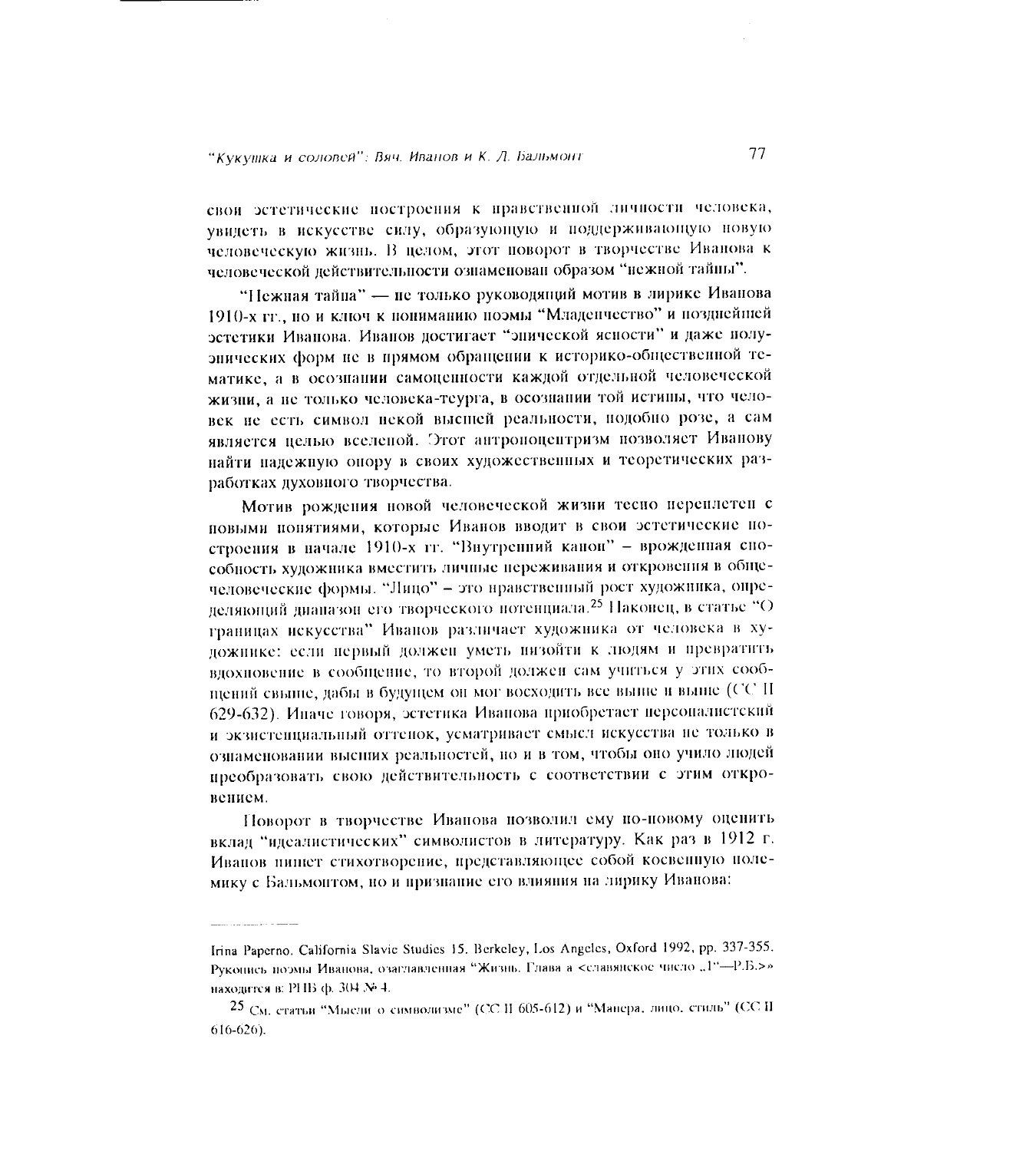свои эстетические построения к правственной личности человека, увидеть в искусстве силу, образующую и поддерживающую новую человеческую жизнь. В целом, этот поворот в творчестве Иванова к человеческой действительности ознаменован образом "нежной тайны".

"Нежная тайна" — не только руководящий мотив в лирике Иванова 1910-х гг., но и ключ к пониманию поэмы "Младенчество" и позднейшей эстетики Иванова. Иванов достигает "энической ясности" и даже полуэнических форм не в прямом обращении к историко-общественной тематике, а в осознании самоценности каждой отдельной человеческой жизни, а не только человека-теурга, в осознании той истины, что человек не есть символ некой высшей реальности, подобно розе, а сам является целью вселеной. Этот антроноцентризм нозволяет Иванову найти надежную опору в своих художественных и теоретических разработках духовного творчества.

Мотив рождения новой человеческой жизни тесно переилетен с повыми понятиями, которые Иванов вводит в свои эстетические построения в начале 1910-х гг. "Внутренний канон" - врожденная способность художника вместить личные переживания и откровения в общечеловеческие формы. "Лицо" - это нравственный рост художника, определяющий диапазон его творческого потенциала.<sup>25</sup> Наконец, в статье "О границах искусства" Иванов различает художника от человека в художнике: если первый должен уметь низойти к людям и превратить вдохновение в сообщение, то второй должен сам учиться у этих сообщений свыше, дабы в будущем он мог восходить все выше и выше (СС II 629-632). Иначе говоря, эстетика Иванова приобретает персоналистский и экзистенциальный оттенок, усматривает смысл искусства не только в ознаменовании высних реальностей, но и в том, чтобы оно учило людей преобразовать свою действительность с соответствии с этим откровением.

Поворот в творчестве Иванова позволил ему по-повому оценить вклад "идеалистических" символистов в литературу. Как раз в 1912 г. Иванов нишет стихотворение, представляющее собой косвенную полемику с Бальмонтом, но и признание его влияния на лирику Иванова:

Irina Paperno. California Slavic Studies 15. Berkeley, Los Angeles, Oxford 1992, pp. 337-355. Рукопись поэмы Иванова, озаглавленная "Жизнь. Глава а <славянское число "1"--Р.Б.>» находится в: РНВ ф. 304 № 4.

<sup>25</sup> См. статьи "Мысли о символизме" (СС II 605-612) и "Манера, лицо, стиль" (СС II  $616 - 626$ ).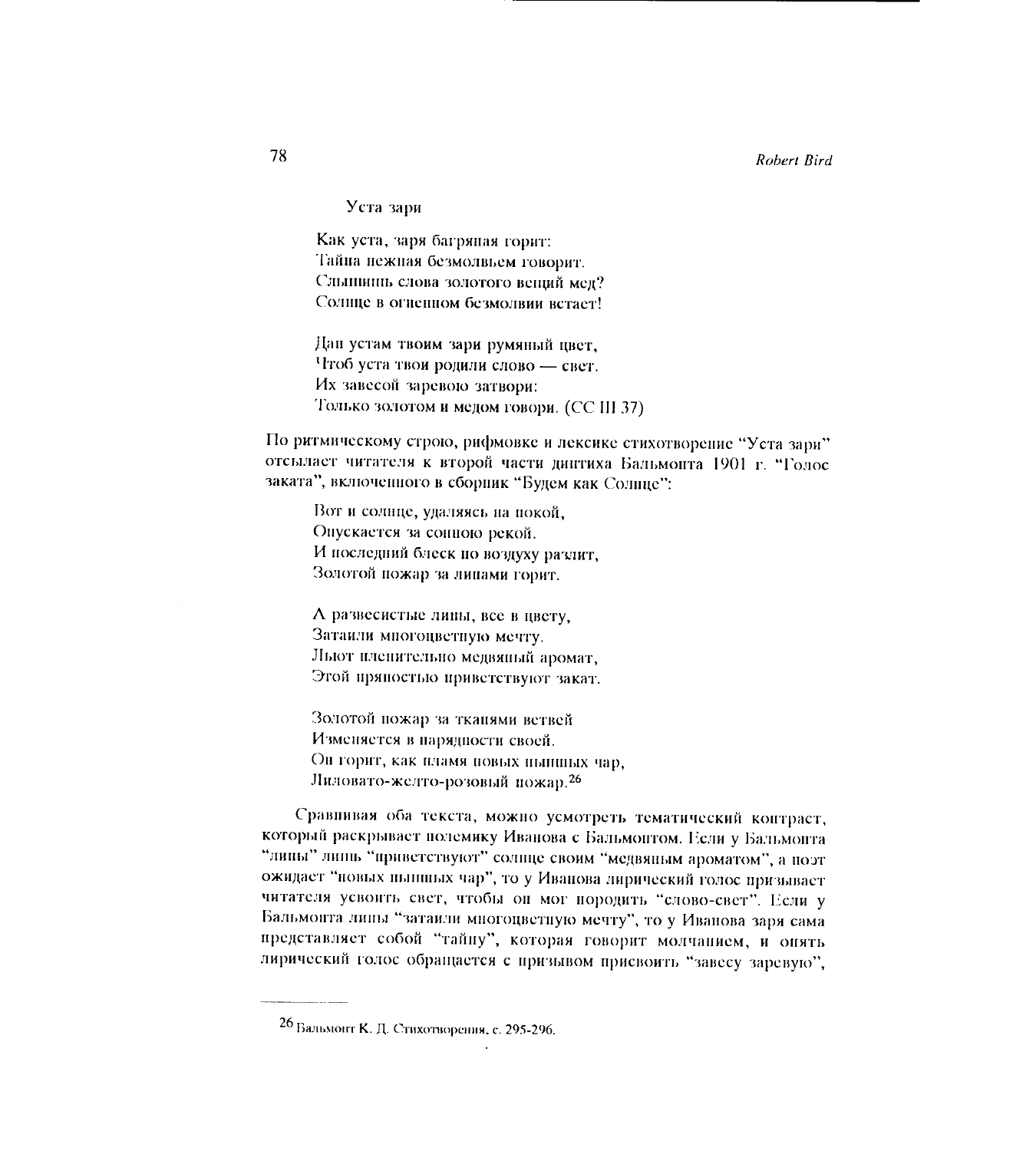Уста зари

Как уста, заря багряная горит: Тайна нежная безмолвьем говорит. Слышиць слова золотого вещий мел? Солнце в огненном безмолвии встает!

Дан устам твоим зари румяный цвет. Чтоб уста твои родили слово - свет. Их завесой заревою затвори: Только золотом и медом говори. (СС III 37)

По ритмическому строю, рифмовке и лексике стихотворение "Уста зари" отсылает читателя к второй части диптиха Бальмонта 1901 г. "Голос заката", включенного в сборник "Будем как Солнце":

Вот и солнце, удаляясь на покой, Опускается за сонною рекой. И последний блеск по воздуху разлит, Золотой пожар за липами горит.

А развесистые липы, все в цвету, Затаили многоцветную мечту. Льют пленительно медвяный аромат, Этой пряностью приветствуют закат.

Золотой пожар за ткапями ветвей Изменяется в парядности своей. Он горит, как пламя новых нышных чар, Лиловато-желто-розовый пожар.<sup>26</sup>

Сравнивая оба текста, можно усмотреть тематический контраст, который раскрывает полемику Иванова с Бальмонтом. Если у Бальмонта "лины" липпь "приветствуют" солнце своим "медвяным ароматом", а поэт ожидает "новых ныншых чар", то у Иванова лирический голос призывает читателя усвоить свет, чтобы он мог породить "слово-свет". Если у Бальмонта липы "затаили многоцветную мечту", то у Иванова заря сама представляет собой "тайну", которая говорит молчанием, и онять лирический голос обращается с призывом присвоить "завесу заревую",

78

<sup>26</sup> Бальмонт К. Д. Стихотворения, с. 295-296.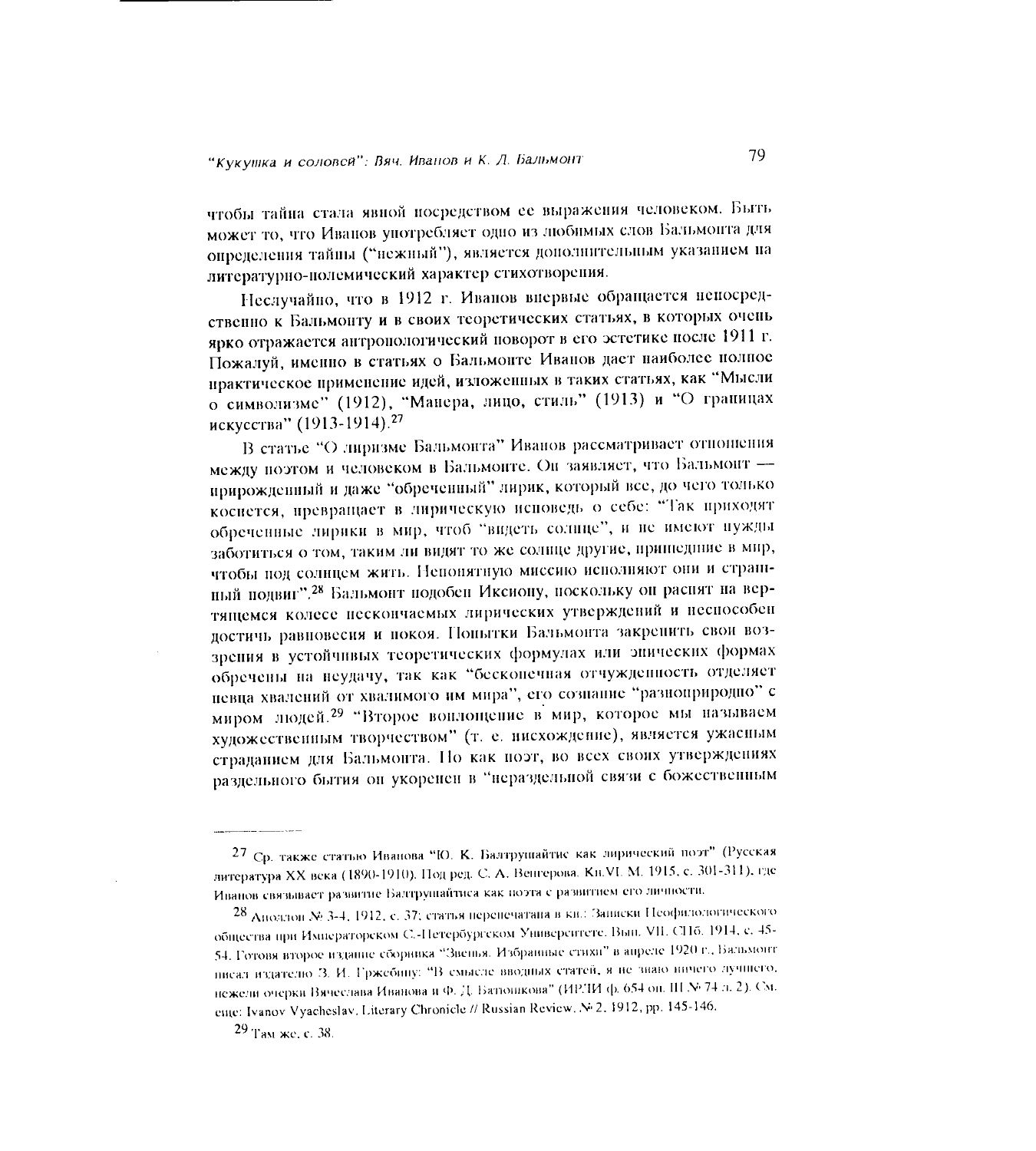чтобы тайна стала явной посредством ее выражения человеком. Быть может то, что Иванов употребляет одно из любимых слов Бальмонта для определения тайны ("нежный"), является дополнительным указанием на литературно-полемический характер стихотворения.

Неслучайно, что в 1912 г. Иванов внервые обращается непосредственно к Бальмонту и в своих теоретических статьях, в которых очень ярко отражается антропологический поворот в его эстетике после 1911 г. Пожалуй, именно в статьях о Бальмонте Иванов дает наиболее полное практическое применение идей, изложенных в таких статьях, как "Мысли о символизме" (1912), "Манера, лицо, стиль" (1913) и "О границах искусства" (1913-1914).<sup>27</sup>

В статье "О лиризме Бальмонта" Иванов рассматривает отношения между поэтом и человеком в Бальмонте. Он заявляет, что Бальмонт прирожденный и даже "обреченный" лирик, который все, до чего только коснется, превращает в лирическую исповедь о себе: "Так приходят обреченные лирики в мир, чтоб "видеть солнце", и не имеют нужды заботиться о том, таким ли видят то же солнце другие, пришедние в мир, чтобы под солнцем жить. Непонятную миссию исполняют они и страниный подвиг".<sup>28</sup> Бальмонт подобен Иксиону, поскольку он раснят на вертящемся колесе исскончаемых лирических утверждений и неспособен достичь равновесия и покоя. Попытки Бальмонта закрепить свои воззрения в устойчивых теоретических формулах или энических формах обречены на неудачу, так как "бескопечная отчужденность отделяет невца хвалений от хвалимого им мира", его сознание "разноприродно" с миром людей.<sup>29</sup> "Второе воплощение в мир, которое мы называем художественным творчеством" (т. е. нисхождение), является ужасным страданием для Бальмонта. Но как поэт, во всех своих утверждениях раздельного бытия он укоренен в "нераздельной связи с божественным

<sup>27</sup> Ср. также статью Иванова "Ю. К. Балтрушайтис как лирический поэт" (Русская литература XX века (1890-1910). Под ред. С. А. Венгерова. Кн. VI. М. 1915, с. 301-311), где Иванов связывает развитие Балтрушайтиса как поэта с развитием его личности.

<sup>28</sup> Аноллон № 3-4, 1912, с. 37; статья перенечатана в кн.: Заниски Неофилологического общества при Императорском С.-Петербургском Университете. Вып. VII. СПб. 1914, с. 45-54. Готовя второе издание сборника "Звенья. Избранные стихи" в апреле 1920 г., Бальмонт писал издателю З. И. Гржебину: "В смысле вводных статей, я не знаю инчего лучшего, нежели очерки Вячеслава Иванова и Ф. Д. Батюшкова" (ИРЛИ ф. 654 оп. III № 74 л. 2). См. eme: Ivanov Vyacheslav, Literary Chronicle // Russian Review, Nº 2, 1912, pp. 145-146.

<sup>29</sup> Там жетс. 38.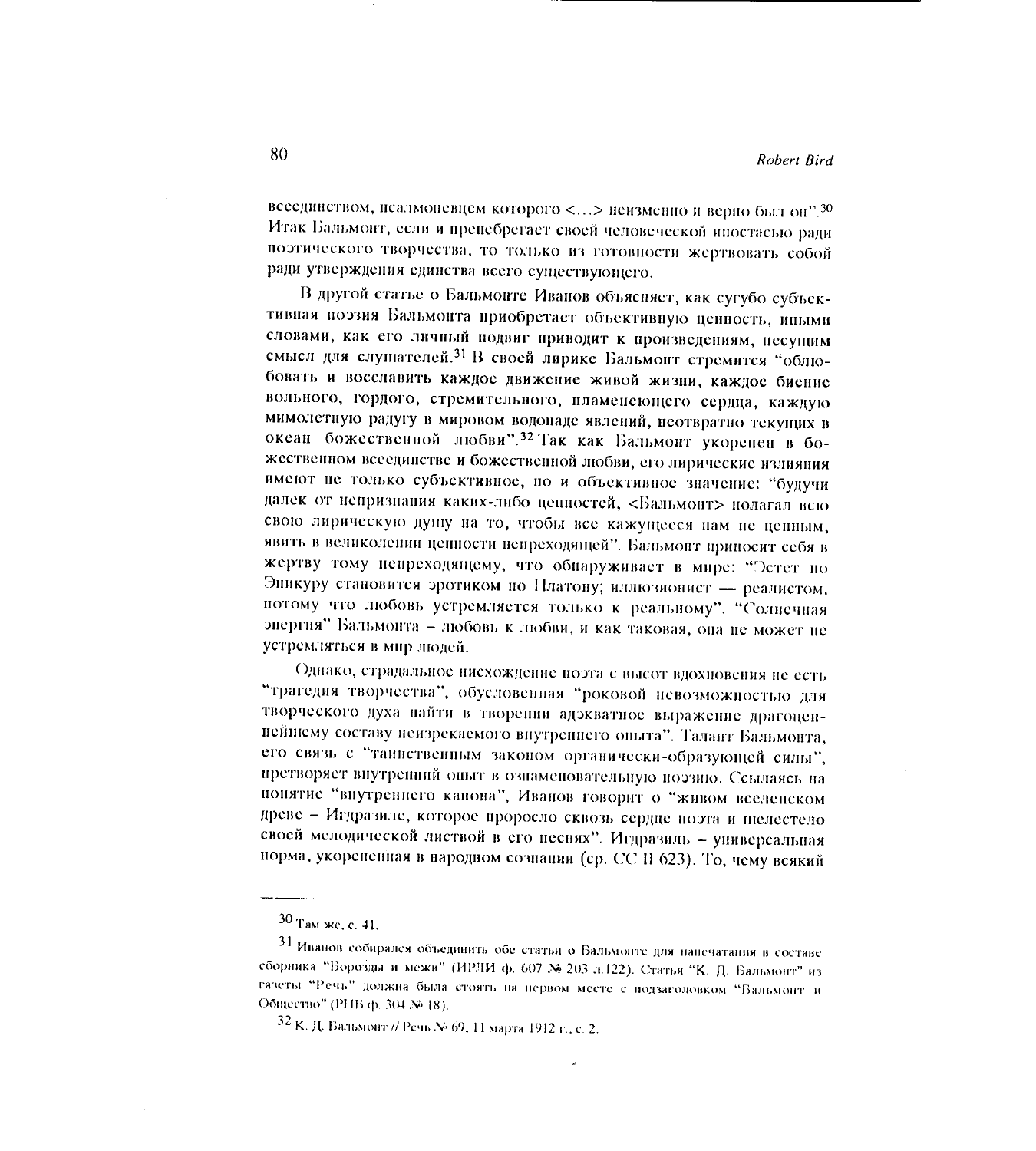всеединством, нсалмоневцем которого <...> неизменно и верно был он".<sup>30</sup> Итак Бальмонт, если и препебрегает своей человеческой ипостасью ради поэтического творчества, то только из готовности жертвовать собой ради утверждения единства всего существующего.

В другой статье о Бальмонте Иванов объясняет, как сугубо субъективная поэзия Бальмонта приобретает объективную ценность, иными словами, как его личный подвиг приводит к произведениям, несущим смысл для слушателей.<sup>31</sup> В своей лирике Бальмонт стремится "облюбовать и восславить каждое движение живой жизни, каждое биение вольного, гордого, стремительного, пламенеющего сердца, каждую мимолетную радугу в мировом водопаде явлений, неотвратно текущих в океан божественной любви".<sup>32</sup> Так как Бальмонт укоренен в божественном всеединстве и божественной любви, его лирические излияния имеют не только субъективное, но и объективное значение: "будучи далек от непризнания каких-либо ценностей, <Бальмонт> полагал всю свою лирическую душу на то, чтобы все кажущееся нам не ценным, явить в великолении цепности непреходящей". Бальмонт припосит себя в жертву тому пепреходящему, что обнаруживает в мире: "Эстет по Эникуру становится эротиком по Платону; иллюзионист - реалистом, потому что любовь устремляется только к реальному". "Солнечная энергия" Бальмонта - любовь к любви, и как таковая, она не может не устремляться в мир людей.

Однако, страдальное нисхождение поэта с высот вдохновения не есть "трагедия творчества", обусловенная "роковой невозможностью для творческого духа найти в творении адэкватное выражение драгоценнейшему составу неизрекаемого внутреннего опыта". Талант Бальмонта, его связь с "таниственным законом органически-образующей силы", претворяет внутренний опыт в ознаменовательную поэзию. Ссылаясь на понятие "впутреннего канона", Иванов говорит о "живом вселенском древе - Игдразиле, которое проросло сквозь сердце поэта и шелестело своей мелодической листвой в его песнях". Игдразиль - универсальная норма, укорененная в народном сознании (ср. СС II 623). То, чему всякий

À

 $30$  Там же, с. 41.

<sup>31</sup> Иванов собирался объединить обе статьи о Бальмонте для напечатания в составе сборника "Борозды и межи" (ИРЛИ ф. 607 № 203 л.122). Статья "К. Д. Бальмонт" из газеты "Речь" должна была стоять на первом месте с подзаголовком "Бальмонт и Общество" (РНБ ф. 304 № 18).

<sup>32</sup> К. Д. Бальмонт // Речь № 69, 11 марта 1912 г., с. 2.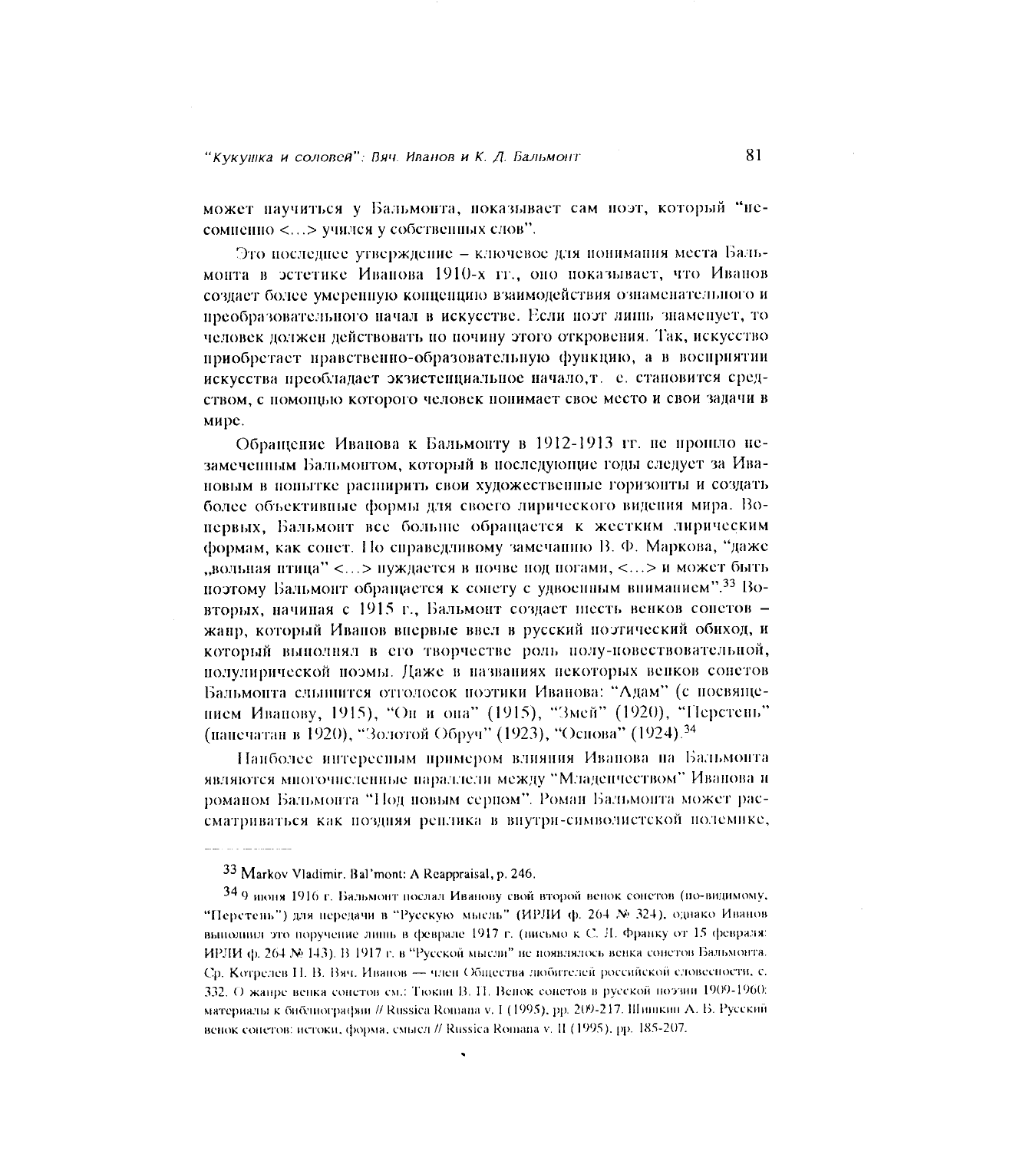может научиться у Бальмонта, показывает сам поэт, который "несомненно <...> учился у собственных слов".

Это последнее утверждение - ключевое для понимания места Бальмонта в эстетике Иванова 1910-х гг., оно показывает, что Иванов создает более умеренную концепцию взаимодействия ознаменательного и преобразовательного начал в искусстве. Если поэт липь знаменует, то человек должен действовать по почину этого откровения. Так, искусство приобретает правственно-образовательную функцию, а в восприятии искусства преобладает экзистенциальное начало, т. е. становится средством, с помощью которого человек понимает свое место и свои задачи в мире.

Обращение Иванова к Бальмонту в 1912-1913 гг. не прошло незамеченным Бальмонтом, который в последующие годы следует за Ивановым в попытке расширить свои художественные горизонты и создать более объективные формы для своего лирического видения мира. Вопервых, Бальмонт все больше обращается к жестким лирическим формам, как соцет. По справедливому замечанию В. Ф. Маркова, "даже "вольная птица" <...> пуждается в почве под погами, <...> и может быть поэтому Бальмонт обращается к сонету с удвоенным вниманием".<sup>33</sup> Вовторых, начиная с 1915 г., Бальмонт создает шесть венков сопетов жанр, который Иванов впервые ввел в русский поэтический обиход, и который выполнял в его творчестве роль полу-повествовательной, полулирической поэмы. Даже в названиях некоторых венков сонетов Бальмонта слышится отголосок поэтики Иванова: "Адам" (с посвящеписм Иванову, 1915), "Он и она" (1915), "Змей" (1920), "Перстень" (панечатан в 1920), "Золотой Обруч" (1923), "Основа" (1924).<sup>34</sup>

Наиболее интересным примером влияния Иванова на Бальмонта являются многочисленные параллели между "Младенчеством" Иванова и романом Бальмонта "Под новым серпом". Роман Бальмонта может рассматриваться как поздняя реплика в внутри-символистской полемике,

33 Markov Vladimir. Bal'mont: A Reappraisal, p. 246.

34.9 июня 1916 г. Бальмонт послал Иванову свой второй венок сонетов (по-видимому, "Перстень") для передачи в "Русскую мысль" (ИРЛИ ф. 264 № 324), однако Иванов выполнил это поручение лишь в феврале 1917 г. (висьмо к С. Л. Франку от 15 февраля: ИРЛИ ф. 264 № 143). В 1917 г. в "Русской мысли" не ноявлялось венка сонетов Бальмонта. Ср. Котрелев Н. В. Вяч. Иванов - член Общества любителей российской словесности, с. 332. О жанре венка сонетов см.: Тюкин В. П. Венок сонетов в русской поэзии 1909-1960: материалы к библиографии // Russica Romana v. I (1995), pp. 209-217. Шишкин А. Б. Русский венок сонетов: истоки, форма, смысл // Russica Romana v. II (1995), pp. 185-207.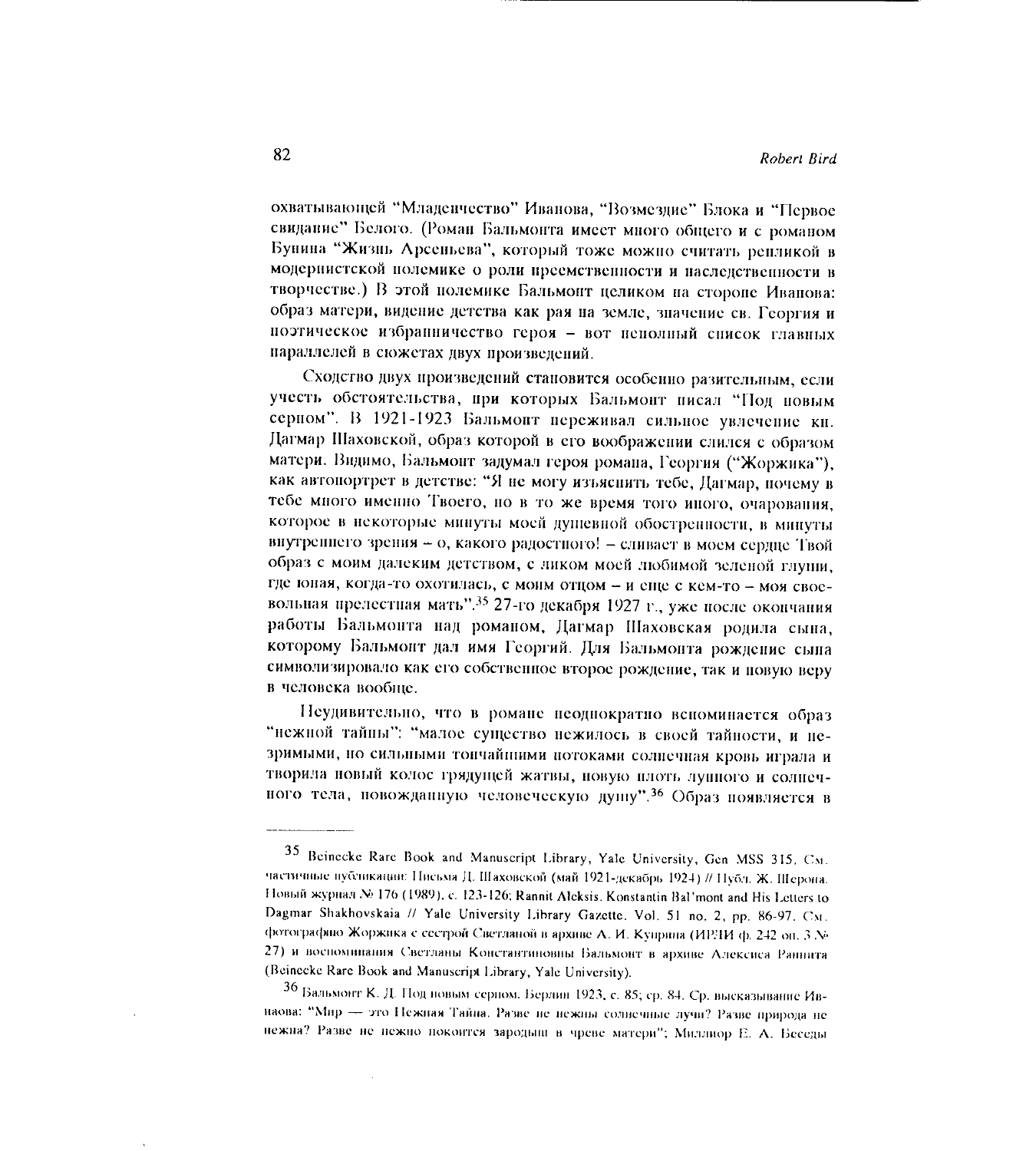охватывающей "Младенчество" Иванова, "Возмездие" Блока и "Первое свидание" Белого. (Роман Бальмонта имеет много общего и с романом Бунина "Жизнь Арсеньева", который тоже можно считать репликой в модернистской полемике о роли преемственности и наследственности в творчестве.) В этой полемике Бальмонт целиком на стороне Иванова: образ матери, видение детства как рая на земле, значение св. Георгия и поэтическое избранничество героя - вот неполный список главных параллелей в сюжетах двух произведений.

Сходство двух произведений становится особенно разительным, если учесть обстоятельства, при которых Бальмонт писал "Под новым серном". В 1921-1923 Бальмонт переживал сильное увлечение кн. Дагмар Шаховской, образ которой в его воображении слился с образом матери. Видимо, Бальмонт задумал героя романа, Георгия ("Жоржика"), как автопортрет в детстве: "Я не могу изъяснить тебе, Дагмар, почему в тебе много именно Твоего, но в то же время того иного, очарования, которое в некоторые минуты моей душевной обостренности, в минуты внутреннего зрения - о, какого радостного! - сливает в моем сердце Твой образ с моим далеким детством, с ликом моей любимой зеленой глупи, где юная, когда-то охотилась, с монм отцом - и еще с кем-то - моя своевольная прелестная мать".<sup>35</sup> 27-го декабря 1927 г., уже после окончания работы Бальмонта над романом, Дагмар Шаховская родила сына, которому Бальмонт дал имя Георгий. Для Бальмонта рождение сына символизировало как его собственное второе рождение, так и повую веру в человека вообще.

Пеудивительно, что в романе неоднократно вспоминается образ "нежной тайны": "малое существо нежилось в своей тайности, и незримыми, но сильными тончайнними потоками солнечная кровь играла и творила новый колос грядущей жатвы, новую плоть лушного и солнечного тела, новожданную человеческую душу".<sup>36</sup> Образ появляется в

<sup>35</sup> Beinecke Rare Book and Manuscript Library, Yale University, Gen MSS 315. CM. частичные публикации: Письма Д. Шаховской (май 1921-декабрь 1924) // Публ. Ж. Шерона. Новый журнал № 176 (1989), с. 123-126; Rannit Aleksis, Konstantin Bal'mont and His Letters to Dagmar Shakhovskaia // Yale University Library Gazette. Vol. 51 no. 2, pp. 86-97. CM. фотографию Жоржика с сестрой Светланой в архиве А. И. Куприна (ИРЛИ ф. 242 оп. 3 № 27) и воспоминания Светланы Константиновны Бальмонт в архиве Алексиса Раннита (Beinecke Rare Book and Manuscript Library, Yale University).

<sup>36</sup> Бальмонт К. Д. Под новым серцом. Берлин 1923, с. 85; ср. 84. Ср. высказывание Ивнаова: "Мир - это Нежная Тайна. Разве не нежны солнечные лучи? Разве природа не нежна? Разве не нежно покоится зародыш в чреве матери"; Миллиор Е. А. Беседы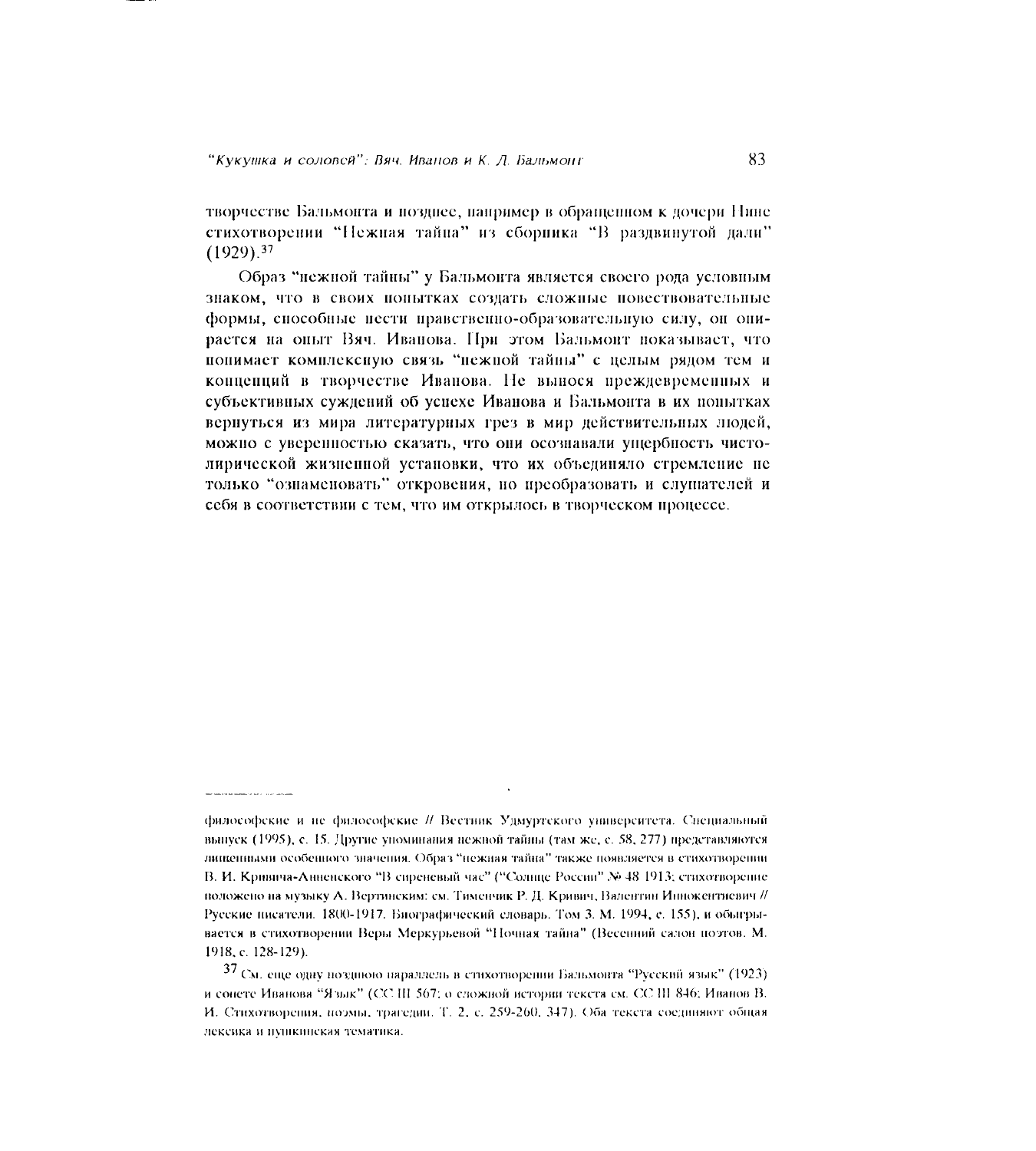творчестве Бальмонта и позннее, например в обращенном к дочери Нине стихотворении "Нежная тайна" из сборника "В раздвинутой дали"  $(1929).<sup>37</sup>$ 

Образ "нежной тайны" у Бальмонта является своего рода условным знаком, что в своих попытках создать сложные повествовательные формы, способные пести правственно-образовательную силу, он опирается на опыт Вяч. Иванова. При этом Бальмонт показывает, что понимает комплексиую связь "нежной тайны" с целым рядом тем и концепций в творчестве Иванова. Не вынося преждевременных и субъективных суждений об успехе Иванова и Бальмонта в их попытках вернуться из мира литературных грез в мир действительных людей, можно с уверенностью сказать, что они осознавали ущербность чистолирической жизненной установки, что их объединяло стремление не только "ознаменовать" откровения, но преобразовать и слушателей и себя в соответствии с тем, что им открылось в творческом процессе.

философские и не философские // Вестник Удмуртского университета. Специальный выпуск (1995), с. 15. Другие упоминания нежной тайны (там же, с. 58, 277) представляются лищенными особенного значения. Образ "нежная тайна" также появляется в стихотворении В. И. Кривича-Анненского "В сиреневый час" ("Солнце России" № 48 1913; стихотворение положено на музыку А. Вертинским: см. Тименчик Р. Д. Кривич, Валентин Иннокентиевич // Русские писатели. 1800-1917. Биографический словарь. Том 3. М. 1994, с. 155), и обыгрывается в стихотворении Веры Меркурьевой "Ночная тайна" (Весенний салон поэтов. М. 1918, c. 128-129).

 $37$  См. еще одну позднюю нараллель в стихотворении Бальмонта "Русский язык" (1923) и сонете Иванова "Язык" (СС III 567; о сложной истории текста см. СС III 846; Иванов В. И. Стихотворения, поэмы, трагедии. Т. 2, с. 259-260, 347). Оба текста соединяют общая лексика и пушкинская тематика.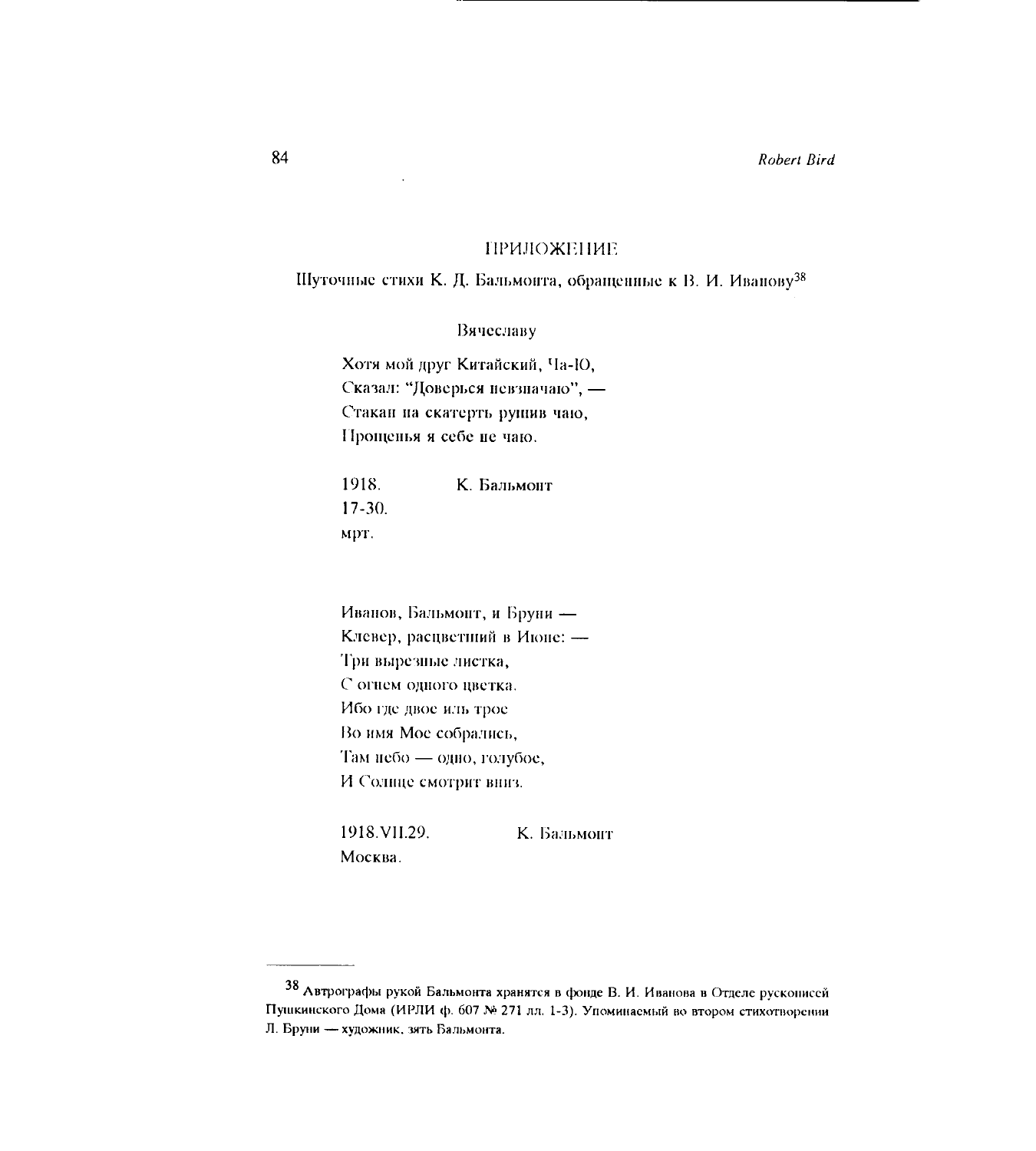## **ПРИЛОЖЕНИЕ**

Шуточные стихи К. Д. Бальмонта, обращенные к В. И. Иванову<sup>38</sup>

Вячеславу

Хотя мой друг Китайский, Ча-Ю, Сказал: "Доверься невзначаю", -Стакан на скатерть рушив чаю, Прощенья я себе не чаю.

К. Бальмонт 1918.  $17-30.$ мрт.

Иванов, Бальмонт, и Бруни -Клевер, расцветний в Июне: -Три вырезные листка, С огнем одного цветка. Ибо где двое иль трое Во имя Мое собрались, Там небо - одно, голубое, И Солице смотрит вниз.

1918. VII.29. К. Бальмонт Москва.

<sup>38</sup> Автрографы рукой Бальмонта хранятся в фонде В. И. Иванова в Отделе рускописей Пушкинского Дома (ИРЛИ ф. 607 № 271 лл. 1-3). Упоминаемый во втором стихотворении Л. Бруни - художник, зять Бальмонта.